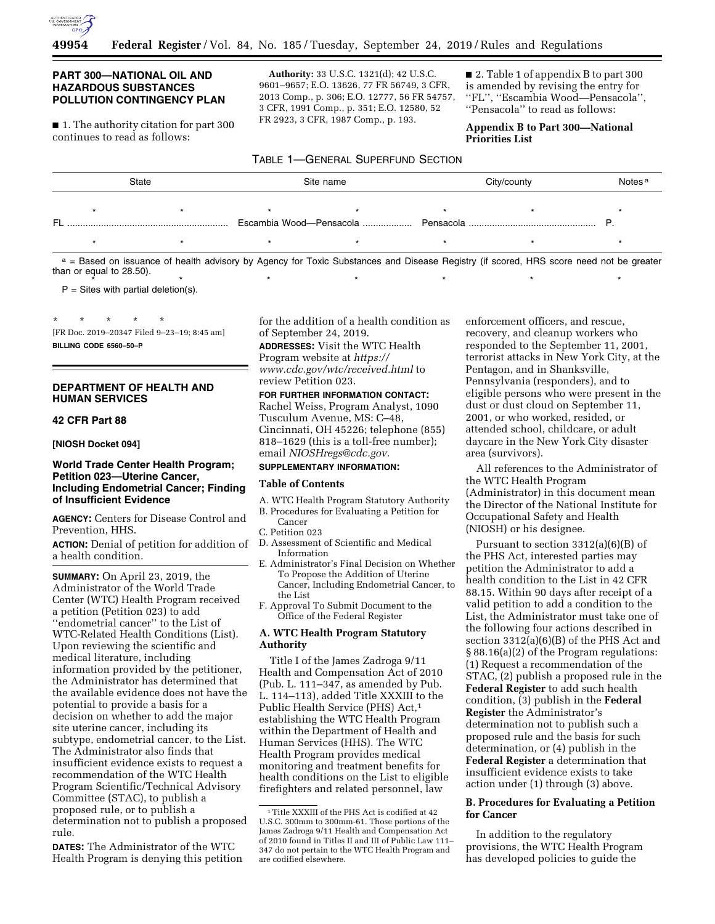

## **PART 300—NATIONAL OIL AND HAZARDOUS SUBSTANCES POLLUTION CONTINGENCY PLAN**

■ 1. The authority citation for part 300 continues to read as follows:

**Authority:** 33 U.S.C. 1321(d); 42 U.S.C. 9601–9657; E.O. 13626, 77 FR 56749, 3 CFR, 2013 Comp., p. 306; E.O. 12777, 56 FR 54757, 3 CFR, 1991 Comp., p. 351; E.O. 12580, 52 FR 2923, 3 CFR, 1987 Comp., p. 193.

■ 2. Table 1 of appendix B to part 300 is amended by revising the entry for ''FL'', ''Escambia Wood—Pensacola'', ''Pensacola'' to read as follows:

**Appendix B to Part 300—National Priorities List** 

# TABLE 1—GENERAL SUPERFUND SECTION

|    | <b>State</b> |  | Site name |                                    | City/county |  | Notes <sup>a</sup> |
|----|--------------|--|-----------|------------------------------------|-------------|--|--------------------|
| FI |              |  |           | Escambia Wood-Pensacola  Pensacola |             |  |                    |
|    |              |  |           |                                    |             |  |                    |

a = Based on issuance of health advisory by Agency for Toxic Substances and Disease Registry (if scored, HRS score need not be greater than or equal to 28.50).  $*$  \* \* \* \* \* \* \* \* \* \* \* \*

 $P =$  Sites with partial deletion(s).

\* \* \* \* \* [FR Doc. 2019–20347 Filed 9–23–19; 8:45 am] **BILLING CODE 6560–50–P** 

### **DEPARTMENT OF HEALTH AND HUMAN SERVICES**

### **42 CFR Part 88**

**[NIOSH Docket 094]** 

## **World Trade Center Health Program; Petition 023—Uterine Cancer, Including Endometrial Cancer; Finding of Insufficient Evidence**

**AGENCY:** Centers for Disease Control and Prevention, HHS.

**ACTION:** Denial of petition for addition of a health condition.

**SUMMARY:** On April 23, 2019, the Administrator of the World Trade Center (WTC) Health Program received a petition (Petition 023) to add ''endometrial cancer'' to the List of WTC-Related Health Conditions (List). Upon reviewing the scientific and medical literature, including information provided by the petitioner, the Administrator has determined that the available evidence does not have the potential to provide a basis for a decision on whether to add the major site uterine cancer, including its subtype, endometrial cancer, to the List. The Administrator also finds that insufficient evidence exists to request a recommendation of the WTC Health Program Scientific/Technical Advisory Committee (STAC), to publish a proposed rule, or to publish a determination not to publish a proposed rule.

**DATES:** The Administrator of the WTC Health Program is denying this petition for the addition of a health condition as of September 24, 2019.

**ADDRESSES:** Visit the WTC Health Program website at *[https://](https://www.cdc.gov/wtc/received.html) [www.cdc.gov/wtc/received.html](https://www.cdc.gov/wtc/received.html)* to

review Petition 023. **FOR FURTHER INFORMATION CONTACT:** 

Rachel Weiss, Program Analyst, 1090 Tusculum Avenue, MS: C–48, Cincinnati, OH 45226; telephone (855) 818–1629 (this is a toll-free number); email *[NIOSHregs@cdc.gov.](mailto:NIOSHregs@cdc.gov)* 

# **SUPPLEMENTARY INFORMATION:**

#### **Table of Contents**

- A. WTC Health Program Statutory Authority
- B. Procedures for Evaluating a Petition for
- Cancer
- C. Petition 023
- D. Assessment of Scientific and Medical Information
- E. Administrator's Final Decision on Whether To Propose the Addition of Uterine Cancer, Including Endometrial Cancer, to the List
- F. Approval To Submit Document to the Office of the Federal Register

### **A. WTC Health Program Statutory Authority**

Title I of the James Zadroga 9/11 Health and Compensation Act of 2010 (Pub. L. 111–347, as amended by Pub. L. 114–113), added Title XXXIII to the Public Health Service (PHS) Act,<sup>1</sup> establishing the WTC Health Program within the Department of Health and Human Services (HHS). The WTC Health Program provides medical monitoring and treatment benefits for health conditions on the List to eligible firefighters and related personnel, law

enforcement officers, and rescue, recovery, and cleanup workers who responded to the September 11, 2001, terrorist attacks in New York City, at the Pentagon, and in Shanksville, Pennsylvania (responders), and to eligible persons who were present in the dust or dust cloud on September 11, 2001, or who worked, resided, or attended school, childcare, or adult daycare in the New York City disaster area (survivors).

All references to the Administrator of the WTC Health Program (Administrator) in this document mean the Director of the National Institute for Occupational Safety and Health (NIOSH) or his designee.

Pursuant to section 3312(a)(6)(B) of the PHS Act, interested parties may petition the Administrator to add a health condition to the List in 42 CFR 88.15. Within 90 days after receipt of a valid petition to add a condition to the List, the Administrator must take one of the following four actions described in section 3312(a)(6)(B) of the PHS Act and § 88.16(a)(2) of the Program regulations: (1) Request a recommendation of the STAC, (2) publish a proposed rule in the **Federal Register** to add such health condition, (3) publish in the **Federal Register** the Administrator's determination not to publish such a proposed rule and the basis for such determination, or (4) publish in the **Federal Register** a determination that insufficient evidence exists to take action under (1) through (3) above.

## **B. Procedures for Evaluating a Petition for Cancer**

In addition to the regulatory provisions, the WTC Health Program has developed policies to guide the

<sup>&</sup>lt;sup>1</sup> Title XXXIII of the PHS Act is codified at 42 U.S.C. 300mm to 300mm-61. Those portions of the James Zadroga 9/11 Health and Compensation Act of 2010 found in Titles II and III of Public Law 111– 347 do not pertain to the WTC Health Program and are codified elsewhere.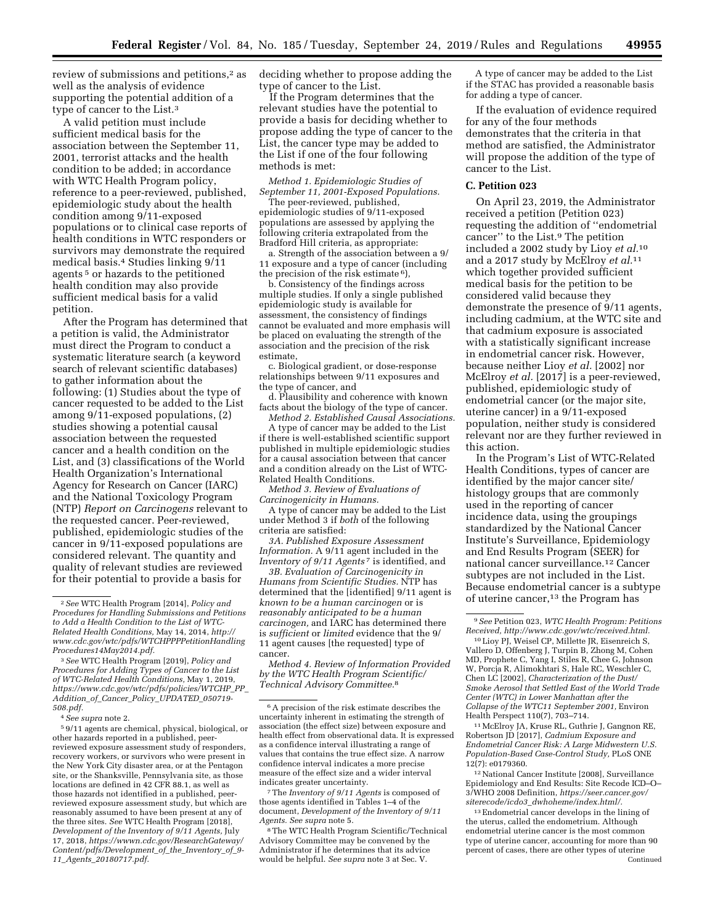review of submissions and petitions,<sup>2</sup> as well as the analysis of evidence supporting the potential addition of a type of cancer to the List.3

A valid petition must include sufficient medical basis for the association between the September 11, 2001, terrorist attacks and the health condition to be added; in accordance with WTC Health Program policy, reference to a peer-reviewed, published, epidemiologic study about the health condition among 9/11-exposed populations or to clinical case reports of health conditions in WTC responders or survivors may demonstrate the required medical basis.4 Studies linking 9/11 agents 5 or hazards to the petitioned health condition may also provide sufficient medical basis for a valid petition.

After the Program has determined that a petition is valid, the Administrator must direct the Program to conduct a systematic literature search (a keyword search of relevant scientific databases) to gather information about the following: (1) Studies about the type of cancer requested to be added to the List among 9/11-exposed populations, (2) studies showing a potential causal association between the requested cancer and a health condition on the List, and (3) classifications of the World Health Organization's International Agency for Research on Cancer (IARC) and the National Toxicology Program (NTP) *Report on Carcinogens* relevant to the requested cancer. Peer-reviewed, published, epidemiologic studies of the cancer in 9/11-exposed populations are considered relevant. The quantity and quality of relevant studies are reviewed for their potential to provide a basis for

4*See supra* note 2.

5 9/11 agents are chemical, physical, biological, or other hazards reported in a published, peerreviewed exposure assessment study of responders, recovery workers, or survivors who were present in the New York City disaster area, or at the Pentagon site, or the Shanksville, Pennsylvania site, as those locations are defined in 42 CFR 88.1, as well as those hazards not identified in a published, peerreviewed exposure assessment study, but which are reasonably assumed to have been present at any of the three sites. *See* WTC Health Program [2018], *Development of the Inventory of 9/11 Agents,* July 17, 2018, *[https://wwwn.cdc.gov/ResearchGateway/](https://wwwn.cdc.gov/ResearchGateway/Content/pdfs/Development_of_the_Inventory_of_9-11_Agents_20180717.pdf) [Content/pdfs/Development](https://wwwn.cdc.gov/ResearchGateway/Content/pdfs/Development_of_the_Inventory_of_9-11_Agents_20180717.pdf)*\_*of*\_*the*\_*Inventory*\_*of*\_*9- 11*\_*Agents*\_*[20180717.pdf.](https://wwwn.cdc.gov/ResearchGateway/Content/pdfs/Development_of_the_Inventory_of_9-11_Agents_20180717.pdf)* 

deciding whether to propose adding the type of cancer to the List.

If the Program determines that the relevant studies have the potential to provide a basis for deciding whether to propose adding the type of cancer to the List, the cancer type may be added to the List if one of the four following methods is met:

*Method 1. Epidemiologic Studies of September 11, 2001-Exposed Populations.* 

The peer-reviewed, published, epidemiologic studies of 9/11-exposed populations are assessed by applying the following criteria extrapolated from the Bradford Hill criteria, as appropriate:

a. Strength of the association between a 9/ 11 exposure and a type of cancer (including the precision of the risk estimate 6),

b. Consistency of the findings across multiple studies. If only a single published epidemiologic study is available for assessment, the consistency of findings cannot be evaluated and more emphasis will be placed on evaluating the strength of the association and the precision of the risk estimate,

c. Biological gradient, or dose-response relationships between 9/11 exposures and the type of cancer, and

d. Plausibility and coherence with known facts about the biology of the type of cancer.

*Method 2. Established Causal Associations.*  A type of cancer may be added to the List if there is well-established scientific support published in multiple epidemiologic studies for a causal association between that cancer and a condition already on the List of WTC-Related Health Conditions.

*Method 3. Review of Evaluations of Carcinogenicity in Humans.* 

A type of cancer may be added to the List under Method 3 if *both* of the following criteria are satisfied:

*3A. Published Exposure Assessment Information.* A 9/11 agent included in the *Inventory of 9/11 Agents* 7 is identified, and

*3B. Evaluation of Carcinogenicity in Humans from Scientific Studies.* NTP has determined that the [identified] 9/11 agent is *known to be a human carcinogen* or is *reasonably anticipated to be a human carcinogen,* and IARC has determined there is *sufficient* or *limited* evidence that the 9/ 11 agent causes [the requested] type of cancer.

*Method 4. Review of Information Provided by the WTC Health Program Scientific/ Technical Advisory Committee.*8

7The *Inventory of 9/11 Agents* is composed of those agents identified in Tables 1–4 of the document, *Development of the Inventory of 9/11 Agents. See supra* note 5.

8The WTC Health Program Scientific/Technical Advisory Committee may be convened by the Administrator if he determines that its advice would be helpful. *See supra* note 3 at Sec. V.

A type of cancer may be added to the List if the STAC has provided a reasonable basis for adding a type of cancer.

If the evaluation of evidence required for any of the four methods demonstrates that the criteria in that method are satisfied, the Administrator will propose the addition of the type of cancer to the List.

### **C. Petition 023**

On April 23, 2019, the Administrator received a petition (Petition 023) requesting the addition of ''endometrial cancer'' to the List.9 The petition included a 2002 study by Lioy *et al.*10 and a 2017 study by McElroy *et al.*11 which together provided sufficient medical basis for the petition to be considered valid because they demonstrate the presence of 9/11 agents, including cadmium, at the WTC site and that cadmium exposure is associated with a statistically significant increase in endometrial cancer risk. However, because neither Lioy *et al.* [2002] nor McElroy *et al.* [2017] is a peer-reviewed, published, epidemiologic study of endometrial cancer (or the major site, uterine cancer) in a 9/11-exposed population, neither study is considered relevant nor are they further reviewed in this action.

In the Program's List of WTC-Related Health Conditions, types of cancer are identified by the major cancer site/ histology groups that are commonly used in the reporting of cancer incidence data, using the groupings standardized by the National Cancer Institute's Surveillance, Epidemiology and End Results Program (SEER) for national cancer surveillance.12 Cancer subtypes are not included in the List. Because endometrial cancer is a subtype of uterine cancer,13 the Program has

10Lioy PJ, Weisel CP, Millette JR, Eisenreich S, Vallero D, Offenberg J, Turpin B, Zhong M, Cohen MD, Prophete C, Yang I, Stiles R, Chee G, Johnson W, Porcja R, Alimokhtari S, Hale RC, Weschler C, Chen LC [2002], *Characterization of the Dust/ Smoke Aerosol that Settled East of the World Trade Center (WTC) in Lower Manhattan after the Collapse of the WTC11 September 2001,* Environ Health Perspect 110(7), 703–714.

11McElroy JA, Kruse RL, Guthrie J, Gangnon RE, Robertson JD [2017], *Cadmium Exposure and Endometrial Cancer Risk: A Large Midwestern U.S. Population-Based Case-Control Study,* PLoS ONE 12(7): e0179360.

12National Cancer Institute [2008], Surveillance Epidemiology and End Results: Site Recode ICD–O– 3/WHO 2008 Definition, *[https://seer.cancer.gov/](https://seer.cancer.gov/siterecode/icdo3_dwhoheme/index.html/) siterecode/icdo3*\_*[dwhoheme/index.html/.](https://seer.cancer.gov/siterecode/icdo3_dwhoheme/index.html/)* 

13Endometrial cancer develops in the lining of the uterus, called the endometrium. Although endometrial uterine cancer is the most common type of uterine cancer, accounting for more than 90 percent of cases, there are other types of uterine Continued

<sup>2</sup>*See* WTC Health Program [2014], *Policy and Procedures for Handling Submissions and Petitions to Add a Health Condition to the List of WTC-Related Health Conditions,* May 14, 2014, *[http://](http://www.cdc.gov/wtc/pdfs/WTCHPPPPetitionHandlingProcedures14May2014.pdf) [www.cdc.gov/wtc/pdfs/WTCHPPPPetitionHandling](http://www.cdc.gov/wtc/pdfs/WTCHPPPPetitionHandlingProcedures14May2014.pdf) [Procedures14May2014.pdf.](http://www.cdc.gov/wtc/pdfs/WTCHPPPPetitionHandlingProcedures14May2014.pdf)* 

<sup>3</sup>*See* WTC Health Program [2019], *Policy and Procedures for Adding Types of Cancer to the List of WTC-Related Health Conditions,* May 1, 2019, *[https://www.cdc.gov/wtc/pdfs/policies/WTCHP](https://www.cdc.gov/wtc/pdfs/policies/WTCHP_PP_Addition_of_Cancer_Policy_UPDATED_050719-508.pdf)*\_*PP*\_ *Addition*\_*of*\_*Cancer*\_*Policy*\_*[UPDATED](https://www.cdc.gov/wtc/pdfs/policies/WTCHP_PP_Addition_of_Cancer_Policy_UPDATED_050719-508.pdf)*\_*050719- [508.pdf.](https://www.cdc.gov/wtc/pdfs/policies/WTCHP_PP_Addition_of_Cancer_Policy_UPDATED_050719-508.pdf)* 

<sup>6</sup>A precision of the risk estimate describes the uncertainty inherent in estimating the strength of association (the effect size) between exposure and health effect from observational data. It is expressed as a confidence interval illustrating a range of values that contains the true effect size. A narrow confidence interval indicates a more precise measure of the effect size and a wider interval indicates greater uncertainty.

<sup>9</sup>*See* Petition 023, *WTC Health Program: Petitions Received, [http://www.cdc.gov/wtc/received.html.](http://www.cdc.gov/wtc/received.html)*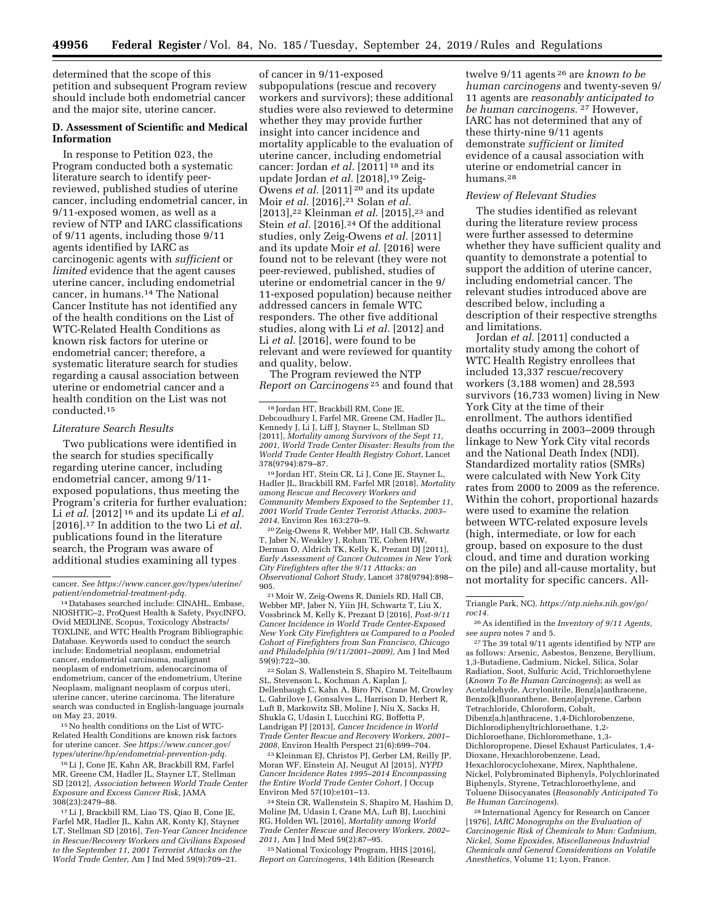determined that the scope of this petition and subsequent Program review should include both endometrial cancer and the major site, uterine cancer.

## **D. Assessment of Scientific and Medical Information**

In response to Petition 023, the Program conducted both a systematic literature search to identify peerreviewed, published studies of uterine cancer, including endometrial cancer, in 9/11-exposed women, as well as a review of NTP and IARC classifications of 9/11 agents, including those 9/11 agents identified by IARC as carcinogenic agents with *sufficient* or *limited* evidence that the agent causes uterine cancer, including endometrial cancer, in humans.14 The National Cancer Institute has not identified any of the health conditions on the List of WTC-Related Health Conditions as known risk factors for uterine or endometrial cancer; therefore, a systematic literature search for studies regarding a causal association between uterine or endometrial cancer and a health condition on the List was not conducted.15

### *Literature Search Results*

Two publications were identified in the search for studies specifically regarding uterine cancer, including endometrial cancer, among 9/11 exposed populations, thus meeting the Program's criteria for further evaluation: Li *et al.* [2012] 16 and its update Li *et al.*  [2016].17 In addition to the two Li *et al.*  publications found in the literature search, the Program was aware of additional studies examining all types

14 Databases searched include: CINAHL, Embase, NIOSHTIC–2, ProQuest Health & Safety, PsycINFO, Ovid MEDLINE, Scopus, Toxicology Abstracts/ TOXLINE, and WTC Health Program Bibliographic Database. Keywords used to conduct the search include: Endometrial neoplasm, endometrial cancer, endometrial carcinoma, malignant neoplasm of endometrium, adenocarcinoma of endometrium, cancer of the endometrium, Uterine Neoplasm, malignant neoplasm of corpus uteri, uterine cancer, uterine carcinoma. The literature search was conducted in English-language journals on May 23, 2019.

15No health conditions on the List of WTC-Related Health Conditions are known risk factors for uterine cancer. *See [https://www.cancer.gov/](https://www.cancer.gov/types/uterine/hp/endometrial-prevention-pdq)  [types/uterine/hp/endometrial-prevention-pdq.](https://www.cancer.gov/types/uterine/hp/endometrial-prevention-pdq)* 

16Li J, Cone JE, Kahn AR, Brackbill RM, Farfel MR, Greene CM, Hadler IL, Stavner LT, Stellman SD [2012], *Association between World Trade Center Exposure and Excess Cancer Risk,* JAMA 308(23):2479–88.

17Li J, Brackbill RM, Liao TS, Qiao B, Cone JE, Farfel MR, Hadler JL, Kahn AR, Konty KJ, Stayner LT, Stellman SD [2016], *Ten-Year Cancer Incidence in Rescue/Recovery Workers and Civilians Exposed to the September 11, 2001 Terrorist Attacks on the World Trade Center,* Am J Ind Med 59(9):709–21.

of cancer in 9/11-exposed subpopulations (rescue and recovery workers and survivors); these additional studies were also reviewed to determine whether they may provide further insight into cancer incidence and mortality applicable to the evaluation of uterine cancer, including endometrial cancer: Jordan *et al.* [2011] <sup>18</sup> and its update Jordan et al. [2018],<sup>19</sup> Zeig-Owens *et al.* [2011] <sup>20</sup> and its update Moir *et al.* [2016],21 Solan *et al.*  [2013],22 Kleinman *et al.* [2015],23 and Stein *et al.* [2016].<sup>24</sup> Of the additional studies, only Zeig-Owens *et al.* [2011] and its update Moir *et al.* [2016] were found not to be relevant (they were not peer-reviewed, published, studies of uterine or endometrial cancer in the 9/ 11-exposed population) because neither addressed cancers in female WTC responders. The other five additional studies, along with Li *et al.* [2012] and Li *et al.* [2016], were found to be relevant and were reviewed for quantity and quality, below.

The Program reviewed the NTP *Report on Carcinogens* 25 and found that

19 Jordan HT, Stein CR, Li J, Cone JE, Stayner L, Hadler JL, Brackbill RM, Farfel MR [2018], *Mortality among Rescue and Recovery Workers and Community Members Exposed to the September 11, 2001 World Trade Center Terrorist Attacks, 2003– 2014,* Environ Res 163:270–9.

20Zeig-Owens R, Webber MP, Hall CB, Schwartz T, Jaber N, Weakley J, Rohan TE, Cohen HW, Derman O, Aldrich TK, Kelly K, Prezant DJ [2011], *Early Assessment of Cancer Outcomes in New York City Firefighters after the 9/11 Attacks: an Observational Cohort Study,* Lancet 378(9794):898– 905.

21Moir W, Zeig-Owens R, Daniels RD, Hall CB, Webber MP, Jaber N, Yiin JH, Schwartz T, Liu X, Vossbrinck M, Kelly K, Prezant D [2016], *Post-9/11 Cancer Incidence in World Trade Center-Exposed New York City Firefighters as Compared to a Pooled Cohort of Firefighters from San Francisco, Chicago and Philadelphia (9/11/2001–2009),* Am J Ind Med 59(9):722–30.

22Solan S, Wallenstein S, Shapiro M, Teitelbaum SL, Stevenson L, Kochman A, Kaplan J, Dellenbaugh C, Kahn A, Biro FN, Crane M, Crowley L, Gabrilove J, Gonsalves L, Harrison D, Herbert R, Luft B, Markowitz SB, Moline J, Niu X, Sacks H, Shukla G, Udasin I, Lucchini RG, Boffetta P, Landrigan PJ [2013], *Cancer Incidence in World Trade Center Rescue and Recovery Workers, 2001– 2008,* Environ Health Perspect 21(6):699–704.

23 Kleinman EJ, Christos PJ, Gerber LM, Reilly JP, Moran WF, Einstein AJ, Neugut AI [2015], *NYPD Cancer Incidence Rates 1995–2014 Encompassing the Entire World Trade Center Cohort,* J Occup Environ Med 57(10):e101–13.

24Stein CR, Wallenstein S, Shapiro M, Hashim D, Moline JM, Udasin I, Crane MA, Luft BJ, Lucchini RG, Holden WL [2016], *Mortality among World Trade Center Rescue and Recovery Workers, 2002– 2011,* Am J Ind Med 59(2):87–95.

<sup>25</sup> National Toxicology Program, HHS [2016], *Report on Carcinogens,* 14th Edition (Research

twelve 9/11 agents 26 are *known to be human carcinogens* and twenty-seven 9/ 11 agents are *reasonably anticipated to be human carcinogens.* 27 However, IARC has not determined that any of these thirty-nine 9/11 agents demonstrate *sufficient* or *limited*  evidence of a causal association with uterine or endometrial cancer in humans.28

#### *Review of Relevant Studies*

The studies identified as relevant during the literature review process were further assessed to determine whether they have sufficient quality and quantity to demonstrate a potential to support the addition of uterine cancer, including endometrial cancer. The relevant studies introduced above are described below, including a description of their respective strengths and limitations.

Jordan *et al.* [2011] conducted a mortality study among the cohort of WTC Health Registry enrollees that included 13,337 rescue/recovery workers (3,188 women) and 28,593 survivors (16,733 women) living in New York City at the time of their enrollment. The authors identified deaths occurring in 2003–2009 through linkage to New York City vital records and the National Death Index (NDI). Standardized mortality ratios (SMRs) were calculated with New York City rates from 2000 to 2009 as the reference. Within the cohort, proportional hazards were used to examine the relation between WTC-related exposure levels (high, intermediate, or low for each group, based on exposure to the dust cloud, and time and duration working on the pile) and all-cause mortality, but not mortality for specific cancers. All-

Triangle Park, NC). *[https://ntp.niehs.nih.gov/go/](https://ntp.niehs.nih.gov/go/roc14)  [roc14.](https://ntp.niehs.nih.gov/go/roc14)* 

26As identified in the *Inventory of 9/11 Agents, see supra* notes 7 and 5.

27The 39 total 9/11 agents identified by NTP are as follows: Arsenic, Asbestos, Benzene, Beryllium, 1,3-Butadiene, Cadmium, Nickel, Silica, Solar Radiation, Soot, Sulfuric Acid, Trichloroethylene (*Known To Be Human Carcinogens*); as well as Acetaldehyde, Acrylonitrile, Benz[a]anthracene, Benzo[k]fluoranthene, Benzo[a]pyrene, Carbon Tetrachloride, Chloroform, Cobalt, Dibenz[a,h]anthracene, 1,4-Dichlorobenzene, Dichlorodiphenyltrichloroethane, 1,2- Dichloroethane, Dichloromethane, 1,3- Dichloropropene, Diesel Exhaust Particulates, 1,4- Dioxane, Hexachlorobenzene, Lead, Hexachlorocyclohexane, Mirex, Naphthalene, Nickel, Polybrominated Biphenyls, Polychlorinated Biphenyls, Styrene, Tetrachloroethylene, and Toluene Diisocyanates (*Reasonably Anticipated To Be Human Carcinogens*).

28 International Agency for Research on Cancer [1976], *IARC Monographs on the Evaluation of Carcinogenic Risk of Chemicals to Man: Cadmium, Nickel, Some Epoxides, Miscellaneous Industrial Chemicals and General Considerations on Volatile Anesthetics,* Volume 11; Lyon, France.

cancer. *See [https://www.cancer.gov/types/uterine/](https://www.cancer.gov/types/uterine/patient/endometrial-treatment-pdq)  [patient/endometrial-treatment-pdq.](https://www.cancer.gov/types/uterine/patient/endometrial-treatment-pdq)* 

<sup>18</sup> Jordan HT, Brackbill RM, Cone JE, Debcoudhury I, Farfel MR, Greene CM, Hadler JL, Kennedy J, Li J, Liff J, Stayner L, Stellman SD [2011], *Mortality among Survivors of the Sept 11, 2001, World Trade Center Disaster: Results from the World Trade Center Health Registry Cohort,* Lancet 378(9794):879–87.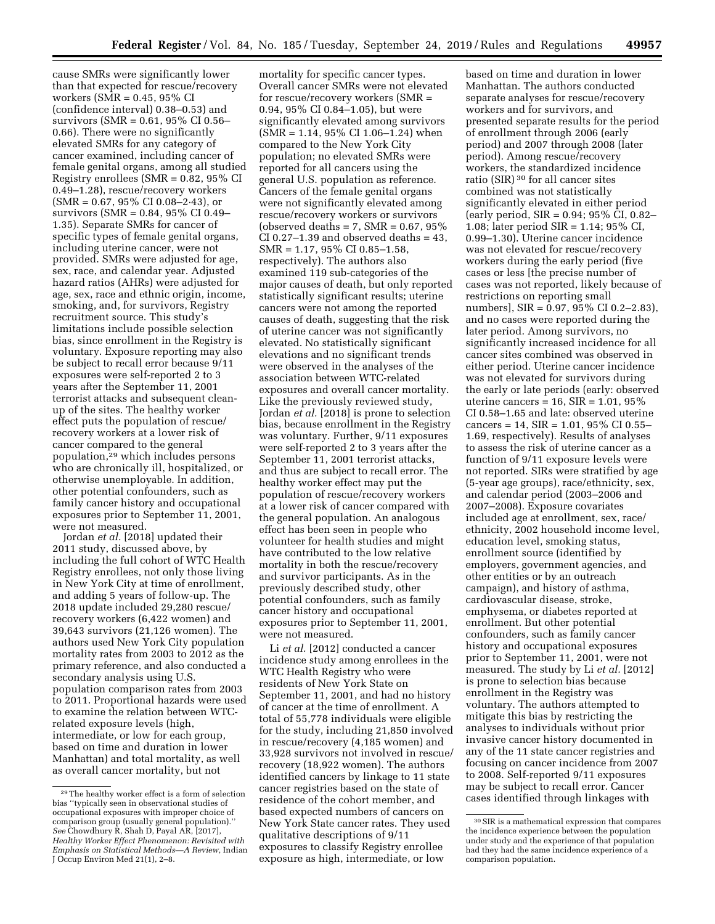cause SMRs were significantly lower than that expected for rescue/recovery workers (SMR = 0.45, 95% CI (confidence interval) 0.38–0.53) and survivors (SMR = 0.61, 95% CI 0.56– 0.66). There were no significantly elevated SMRs for any category of cancer examined, including cancer of female genital organs, among all studied Registry enrollees (SMR = 0.82, 95% CI 0.49–1.28), rescue/recovery workers  $(SMR = 0.67, 95\% \text{ CI } 0.08-2.43),$  or survivors (SMR = 0.84, 95% CI 0.49– 1.35). Separate SMRs for cancer of specific types of female genital organs, including uterine cancer, were not provided. SMRs were adjusted for age, sex, race, and calendar year. Adjusted hazard ratios (AHRs) were adjusted for age, sex, race and ethnic origin, income, smoking, and, for survivors, Registry recruitment source. This study's limitations include possible selection bias, since enrollment in the Registry is voluntary. Exposure reporting may also be subject to recall error because 9/11 exposures were self-reported 2 to 3 years after the September 11, 2001 terrorist attacks and subsequent cleanup of the sites. The healthy worker effect puts the population of rescue/ recovery workers at a lower risk of cancer compared to the general population,<sup>29</sup> which includes persons who are chronically ill, hospitalized, or otherwise unemployable. In addition, other potential confounders, such as family cancer history and occupational exposures prior to September 11, 2001, were not measured.

Jordan *et al.* [2018] updated their 2011 study, discussed above, by including the full cohort of WTC Health Registry enrollees, not only those living in New York City at time of enrollment, and adding 5 years of follow-up. The 2018 update included 29,280 rescue/ recovery workers (6,422 women) and 39,643 survivors (21,126 women). The authors used New York City population mortality rates from 2003 to 2012 as the primary reference, and also conducted a secondary analysis using U.S. population comparison rates from 2003 to 2011. Proportional hazards were used to examine the relation between WTCrelated exposure levels (high, intermediate, or low for each group, based on time and duration in lower Manhattan) and total mortality, as well as overall cancer mortality, but not

mortality for specific cancer types. Overall cancer SMRs were not elevated for rescue/recovery workers (SMR = 0.94, 95% CI 0.84–1.05), but were significantly elevated among survivors  $(SMR = 1.14, 95\% \text{ CI } 1.06 - 1.24)$  when compared to the New York City population; no elevated SMRs were reported for all cancers using the general U.S. population as reference. Cancers of the female genital organs were not significantly elevated among rescue/recovery workers or survivors (observed deaths  $= 7$ , SMR  $= 0.67$ , 95% CI 0.27–1.39 and observed deaths  $= 43$ , SMR = 1.17, 95% CI 0.85–1.58, respectively). The authors also examined 119 sub-categories of the major causes of death, but only reported statistically significant results; uterine cancers were not among the reported causes of death, suggesting that the risk of uterine cancer was not significantly elevated. No statistically significant elevations and no significant trends were observed in the analyses of the association between WTC-related exposures and overall cancer mortality. Like the previously reviewed study, Jordan *et al.* [2018] is prone to selection bias, because enrollment in the Registry was voluntary. Further, 9/11 exposures were self-reported 2 to 3 years after the September 11, 2001 terrorist attacks, and thus are subject to recall error. The healthy worker effect may put the population of rescue/recovery workers at a lower risk of cancer compared with the general population. An analogous effect has been seen in people who volunteer for health studies and might have contributed to the low relative mortality in both the rescue/recovery and survivor participants. As in the previously described study, other potential confounders, such as family cancer history and occupational exposures prior to September 11, 2001, were not measured.

Li *et al.* [2012] conducted a cancer incidence study among enrollees in the WTC Health Registry who were residents of New York State on September 11, 2001, and had no history of cancer at the time of enrollment. A total of 55,778 individuals were eligible for the study, including 21,850 involved in rescue/recovery (4,185 women) and 33,928 survivors not involved in rescue/ recovery (18,922 women). The authors identified cancers by linkage to 11 state cancer registries based on the state of residence of the cohort member, and based expected numbers of cancers on New York State cancer rates. They used qualitative descriptions of 9/11 exposures to classify Registry enrollee exposure as high, intermediate, or low

based on time and duration in lower Manhattan. The authors conducted separate analyses for rescue/recovery workers and for survivors, and presented separate results for the period of enrollment through 2006 (early period) and 2007 through 2008 (later period). Among rescue/recovery workers, the standardized incidence ratio (SIR) 30 for all cancer sites combined was not statistically significantly elevated in either period (early period,  $SIR = 0.94$ ; 95% CI, 0.82-1.08; later period SIR = 1.14; 95% CI, 0.99–1.30). Uterine cancer incidence was not elevated for rescue/recovery workers during the early period (five cases or less [the precise number of cases was not reported, likely because of restrictions on reporting small numbers], SIR = 0.97, 95% CI 0.2–2.83), and no cases were reported during the later period. Among survivors, no significantly increased incidence for all cancer sites combined was observed in either period. Uterine cancer incidence was not elevated for survivors during the early or late periods (early: observed uterine cancers =  $16$ , SIR =  $1.01$ ,  $95\%$ CI 0.58–1.65 and late: observed uterine cancers = 14,  $SIR = 1.01$ , 95% CI 0.55-1.69, respectively). Results of analyses to assess the risk of uterine cancer as a function of 9/11 exposure levels were not reported. SIRs were stratified by age (5-year age groups), race/ethnicity, sex, and calendar period (2003–2006 and 2007–2008). Exposure covariates included age at enrollment, sex, race/ ethnicity, 2002 household income level, education level, smoking status, enrollment source (identified by employers, government agencies, and other entities or by an outreach campaign), and history of asthma, cardiovascular disease, stroke, emphysema, or diabetes reported at enrollment. But other potential confounders, such as family cancer history and occupational exposures prior to September 11, 2001, were not measured. The study by Li *et al.* [2012] is prone to selection bias because enrollment in the Registry was voluntary. The authors attempted to mitigate this bias by restricting the analyses to individuals without prior invasive cancer history documented in any of the 11 state cancer registries and focusing on cancer incidence from 2007 to 2008. Self-reported 9/11 exposures may be subject to recall error. Cancer cases identified through linkages with

<sup>29</sup>The healthy worker effect is a form of selection bias ''typically seen in observational studies of occupational exposures with improper choice of comparison group (usually general population).'' *See* Chowdhury R, Shah D, Payal AR, [2017], *Healthy Worker Effect Phenomenon: Revisited with Emphasis on Statistical Methods—A Review,* Indian J Occup Environ Med 21(1), 2–8.

<sup>30</sup>SIR is a mathematical expression that compares the incidence experience between the population under study and the experience of that population had they had the same incidence experience of a comparison population.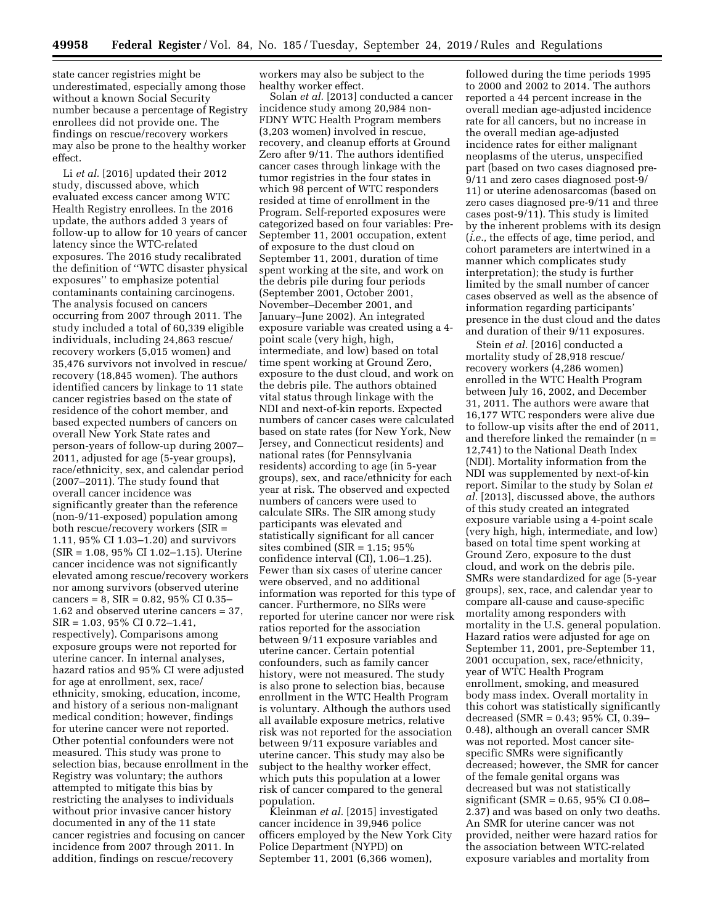state cancer registries might be underestimated, especially among those without a known Social Security number because a percentage of Registry enrollees did not provide one. The findings on rescue/recovery workers may also be prone to the healthy worker effect.

Li *et al.* [2016] updated their 2012 study, discussed above, which evaluated excess cancer among WTC Health Registry enrollees. In the 2016 update, the authors added 3 years of follow-up to allow for 10 years of cancer latency since the WTC-related exposures. The 2016 study recalibrated the definition of ''WTC disaster physical exposures'' to emphasize potential contaminants containing carcinogens. The analysis focused on cancers occurring from 2007 through 2011. The study included a total of 60,339 eligible individuals, including 24,863 rescue/ recovery workers (5,015 women) and 35,476 survivors not involved in rescue/ recovery (18,845 women). The authors identified cancers by linkage to 11 state cancer registries based on the state of residence of the cohort member, and based expected numbers of cancers on overall New York State rates and person-years of follow-up during 2007– 2011, adjusted for age (5-year groups), race/ethnicity, sex, and calendar period (2007–2011). The study found that overall cancer incidence was significantly greater than the reference (non-9/11-exposed) population among both rescue/recovery workers (SIR = 1.11, 95% CI 1.03–1.20) and survivors (SIR = 1.08, 95% CI 1.02–1.15). Uterine cancer incidence was not significantly elevated among rescue/recovery workers nor among survivors (observed uterine cancers =  $8$ , SIR =  $0.82$ ,  $95\%$  CI  $0.35-$ 1.62 and observed uterine cancers = 37, SIR = 1.03, 95% CI 0.72–1.41, respectively). Comparisons among exposure groups were not reported for uterine cancer. In internal analyses, hazard ratios and 95% CI were adjusted for age at enrollment, sex, race/ ethnicity, smoking, education, income, and history of a serious non-malignant medical condition; however, findings for uterine cancer were not reported. Other potential confounders were not measured. This study was prone to selection bias, because enrollment in the Registry was voluntary; the authors attempted to mitigate this bias by restricting the analyses to individuals without prior invasive cancer history documented in any of the 11 state cancer registries and focusing on cancer incidence from 2007 through 2011. In addition, findings on rescue/recovery

workers may also be subject to the healthy worker effect.

Solan *et al.* [2013] conducted a cancer incidence study among 20,984 non-FDNY WTC Health Program members (3,203 women) involved in rescue, recovery, and cleanup efforts at Ground Zero after 9/11. The authors identified cancer cases through linkage with the tumor registries in the four states in which 98 percent of WTC responders resided at time of enrollment in the Program. Self-reported exposures were categorized based on four variables: Pre-September 11, 2001 occupation, extent of exposure to the dust cloud on September 11, 2001, duration of time spent working at the site, and work on the debris pile during four periods (September 2001, October 2001, November–December 2001, and January–June 2002). An integrated exposure variable was created using a 4 point scale (very high, high, intermediate, and low) based on total time spent working at Ground Zero, exposure to the dust cloud, and work on the debris pile. The authors obtained vital status through linkage with the NDI and next-of-kin reports. Expected numbers of cancer cases were calculated based on state rates (for New York, New Jersey, and Connecticut residents) and national rates (for Pennsylvania residents) according to age (in 5-year groups), sex, and race/ethnicity for each year at risk. The observed and expected numbers of cancers were used to calculate SIRs. The SIR among study participants was elevated and statistically significant for all cancer sites combined ( $SIR = 1.15$ ; 95%) confidence interval (CI), 1.06–1.25). Fewer than six cases of uterine cancer were observed, and no additional information was reported for this type of cancer. Furthermore, no SIRs were reported for uterine cancer nor were risk ratios reported for the association between 9/11 exposure variables and uterine cancer. Certain potential confounders, such as family cancer history, were not measured. The study is also prone to selection bias, because enrollment in the WTC Health Program is voluntary. Although the authors used all available exposure metrics, relative risk was not reported for the association between 9/11 exposure variables and uterine cancer. This study may also be subject to the healthy worker effect, which puts this population at a lower risk of cancer compared to the general population.

Kleinman *et al.* [2015] investigated cancer incidence in 39,946 police officers employed by the New York City Police Department (NYPD) on September 11, 2001 (6,366 women),

followed during the time periods 1995 to 2000 and 2002 to 2014. The authors reported a 44 percent increase in the overall median age-adjusted incidence rate for all cancers, but no increase in the overall median age-adjusted incidence rates for either malignant neoplasms of the uterus, unspecified part (based on two cases diagnosed pre-9/11 and zero cases diagnosed post-9/ 11) or uterine adenosarcomas (based on zero cases diagnosed pre-9/11 and three cases post-9/11). This study is limited by the inherent problems with its design (*i.e.,* the effects of age, time period, and cohort parameters are intertwined in a manner which complicates study interpretation); the study is further limited by the small number of cancer cases observed as well as the absence of information regarding participants' presence in the dust cloud and the dates and duration of their 9/11 exposures.

Stein *et al.* [2016] conducted a mortality study of 28,918 rescue/ recovery workers (4,286 women) enrolled in the WTC Health Program between July 16, 2002, and December 31, 2011. The authors were aware that 16,177 WTC responders were alive due to follow-up visits after the end of 2011, and therefore linked the remainder (n = 12,741) to the National Death Index (NDI). Mortality information from the NDI was supplemented by next-of-kin report. Similar to the study by Solan *et al.* [2013], discussed above, the authors of this study created an integrated exposure variable using a 4-point scale (very high, high, intermediate, and low) based on total time spent working at Ground Zero, exposure to the dust cloud, and work on the debris pile. SMRs were standardized for age (5-year groups), sex, race, and calendar year to compare all-cause and cause-specific mortality among responders with mortality in the U.S. general population. Hazard ratios were adjusted for age on September 11, 2001, pre-September 11, 2001 occupation, sex, race/ethnicity, year of WTC Health Program enrollment, smoking, and measured body mass index. Overall mortality in this cohort was statistically significantly decreased (SMR = 0.43; 95% CI, 0.39– 0.48), although an overall cancer SMR was not reported. Most cancer sitespecific SMRs were significantly decreased; however, the SMR for cancer of the female genital organs was decreased but was not statistically significant (SMR = 0.65, 95% CI 0.08– 2.37) and was based on only two deaths. An SMR for uterine cancer was not provided, neither were hazard ratios for the association between WTC-related exposure variables and mortality from